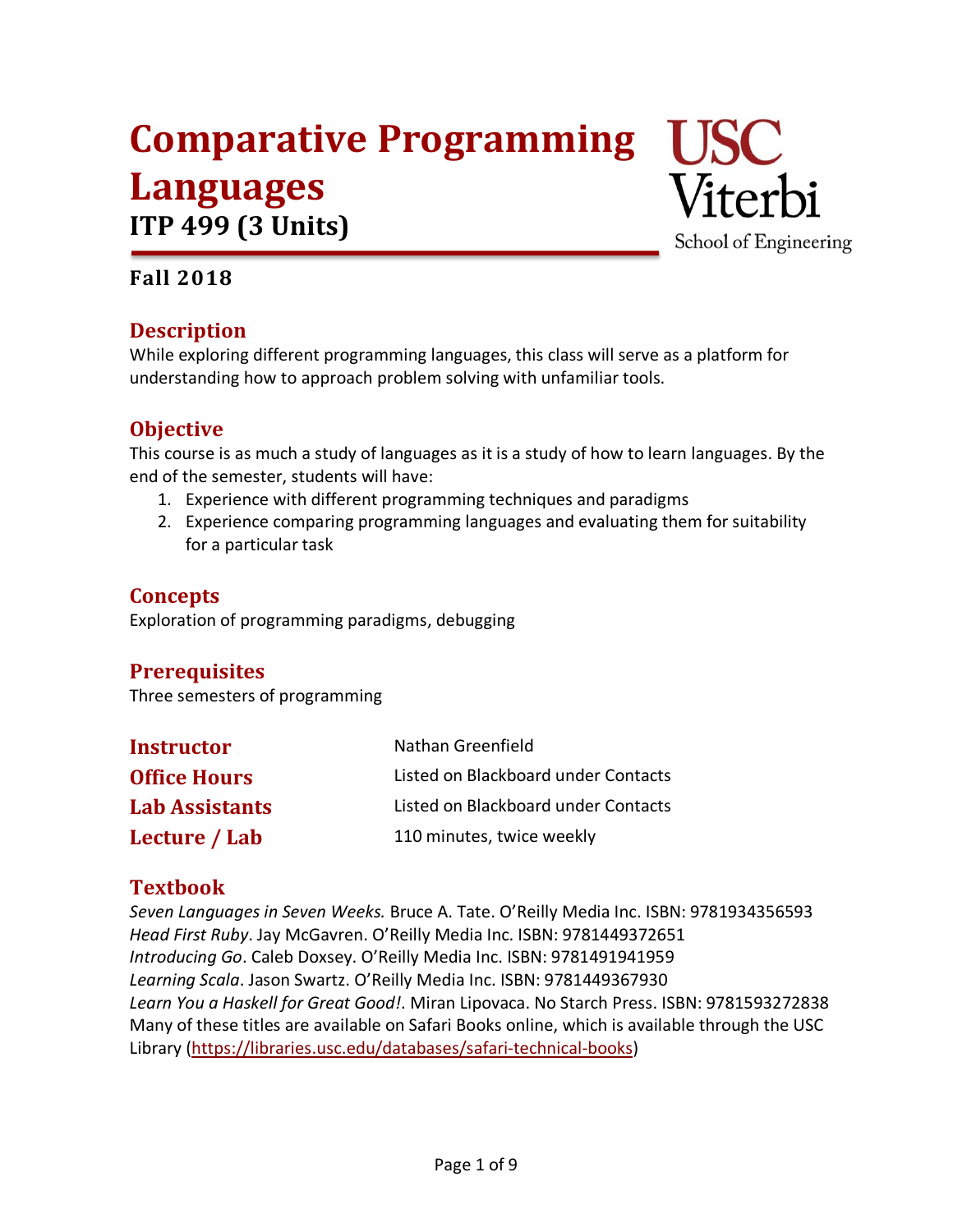# **Comparative Programming USC Languages ITP 499 (3 Units)**



## **Fall 2018**

## **Description**

While exploring different programming languages, this class will serve as a platform for understanding how to approach problem solving with unfamiliar tools.

## **Objective**

This course is as much a study of languages as it is a study of how to learn languages. By the end of the semester, students will have:

- 1. Experience with different programming techniques and paradigms
- 2. Experience comparing programming languages and evaluating them for suitability for a particular task

## **Concepts**

Exploration of programming paradigms, debugging

## **Prerequisites**

Three semesters of programming

| <b>Instructor</b>     | Nathan Greenfield                   |
|-----------------------|-------------------------------------|
| <b>Office Hours</b>   | Listed on Blackboard under Contacts |
| <b>Lab Assistants</b> | Listed on Blackboard under Contacts |
| Lecture / Lab         | 110 minutes, twice weekly           |

## **Textbook**

*Seven Languages in Seven Weeks.* Bruce A. Tate. O'Reilly Media Inc. ISBN: 9781934356593 *Head First Ruby*. Jay McGavren. O'Reilly Media Inc. ISBN: 9781449372651 *Introducing Go*. Caleb Doxsey. O'Reilly Media Inc. ISBN: 9781491941959 *Learning Scala*. Jason Swartz. O'Reilly Media Inc. ISBN: 9781449367930 *Learn You a Haskell for Great Good!*. Miran Lipovaca. No Starch Press. ISBN: 9781593272838 Many of these titles are available on Safari Books online, which is available through the USC Library (https://libraries.usc.edu/databases/safari-technical-books)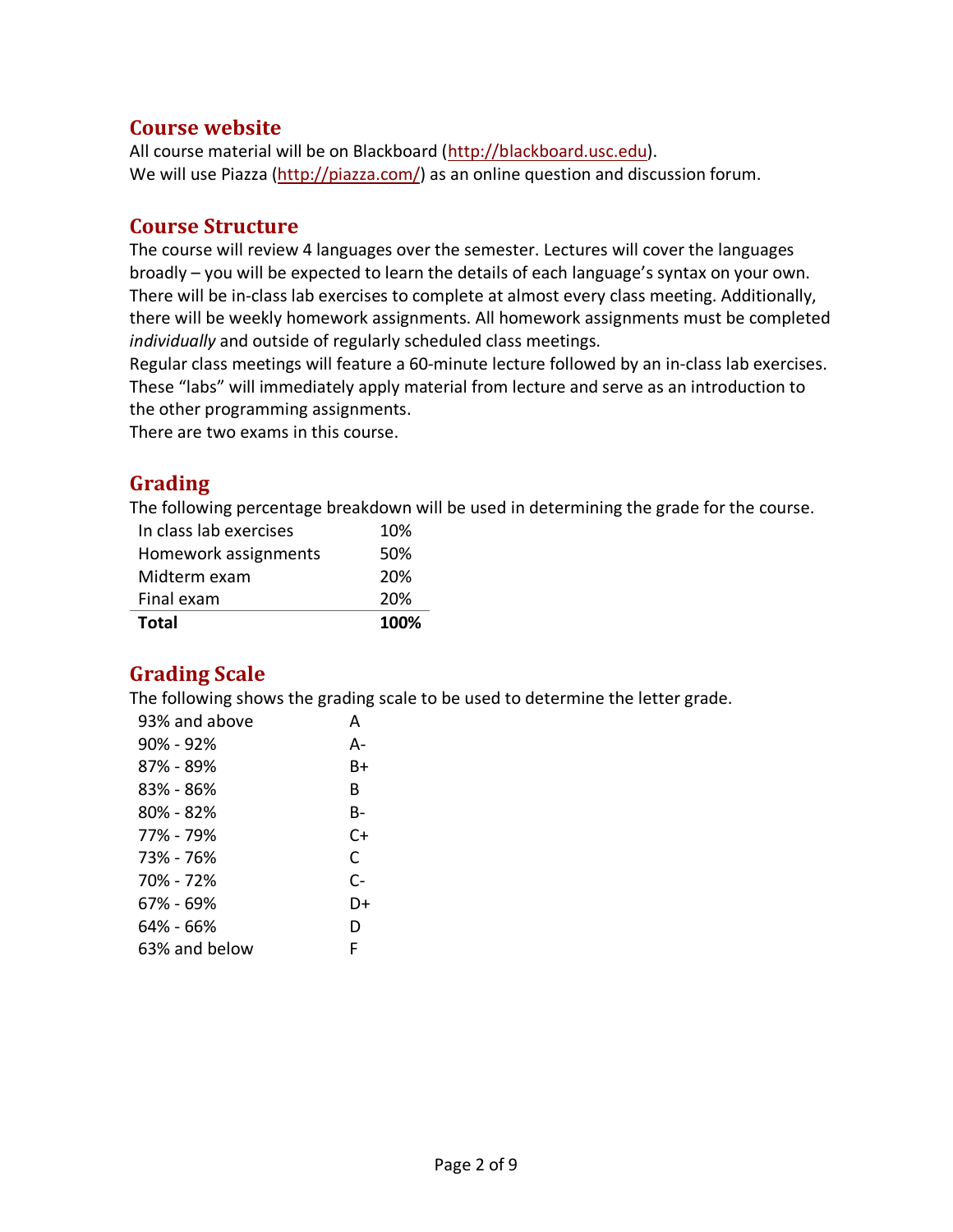#### **Course website**

All course material will be on Blackboard (http://blackboard.usc.edu). We will use Piazza (http://piazza.com/) as an online question and discussion forum.

#### **Course Structure**

The course will review 4 languages over the semester. Lectures will cover the languages broadly – you will be expected to learn the details of each language's syntax on your own. There will be in-class lab exercises to complete at almost every class meeting. Additionally, there will be weekly homework assignments. All homework assignments must be completed *individually* and outside of regularly scheduled class meetings.

Regular class meetings will feature a 60-minute lecture followed by an in-class lab exercises. These "labs" will immediately apply material from lecture and serve as an introduction to the other programming assignments.

There are two exams in this course.

## **Grading**

The following percentage breakdown will be used in determining the grade for the course.

| Total                  | 100% |
|------------------------|------|
| Final exam             | 20%  |
| Midterm exam           | 20%  |
| Homework assignments   | 50%  |
| In class lab exercises | 10%  |

## **Grading Scale**

The following shows the grading scale to be used to determine the letter grade.

| 93% and above | А    |
|---------------|------|
| 90% - 92%     | А-   |
| 87% - 89%     | Β+   |
| 83% - 86%     | R    |
| 80% - 82%     | В-   |
| 77% - 79%     | $C+$ |
| 73% - 76%     | C    |
| 70% - 72%     | $C-$ |
| 67% - 69%     | D+   |
| 64% - 66%     | D    |
| 63% and below | F    |
|               |      |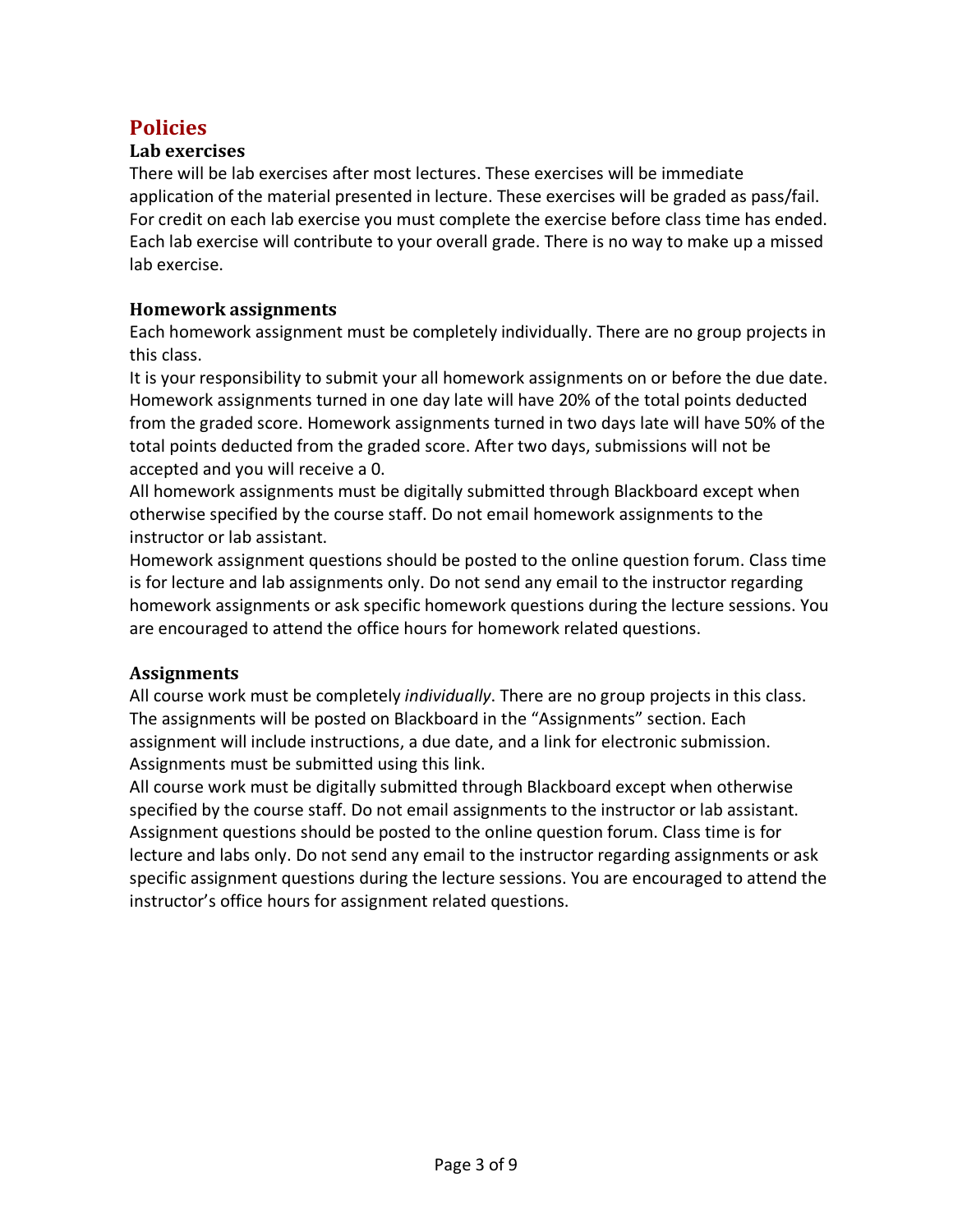## **Policies**

#### **Lab exercises**

There will be lab exercises after most lectures. These exercises will be immediate application of the material presented in lecture. These exercises will be graded as pass/fail. For credit on each lab exercise you must complete the exercise before class time has ended. Each lab exercise will contribute to your overall grade. There is no way to make up a missed lab exercise.

#### **Homework assignments**

Each homework assignment must be completely individually. There are no group projects in this class.

It is your responsibility to submit your all homework assignments on or before the due date. Homework assignments turned in one day late will have 20% of the total points deducted from the graded score. Homework assignments turned in two days late will have 50% of the total points deducted from the graded score. After two days, submissions will not be accepted and you will receive a 0.

All homework assignments must be digitally submitted through Blackboard except when otherwise specified by the course staff. Do not email homework assignments to the instructor or lab assistant.

Homework assignment questions should be posted to the online question forum. Class time is for lecture and lab assignments only. Do not send any email to the instructor regarding homework assignments or ask specific homework questions during the lecture sessions. You are encouraged to attend the office hours for homework related questions.

#### **Assignments**

All course work must be completely *individually*. There are no group projects in this class. The assignments will be posted on Blackboard in the "Assignments" section. Each assignment will include instructions, a due date, and a link for electronic submission. Assignments must be submitted using this link.

All course work must be digitally submitted through Blackboard except when otherwise specified by the course staff. Do not email assignments to the instructor or lab assistant. Assignment questions should be posted to the online question forum. Class time is for lecture and labs only. Do not send any email to the instructor regarding assignments or ask specific assignment questions during the lecture sessions. You are encouraged to attend the instructor's office hours for assignment related questions.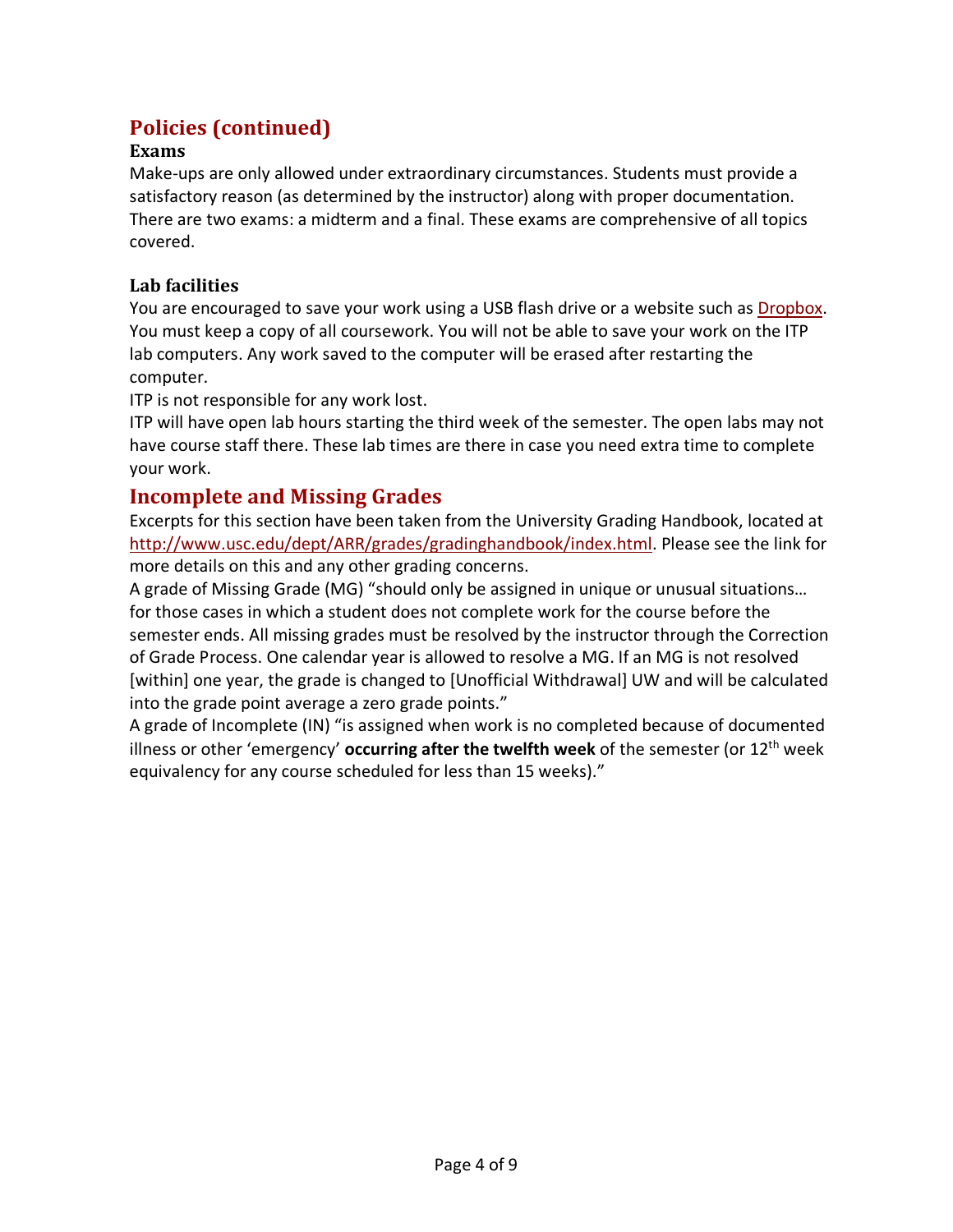## **Policies (continued)**

#### **Exams**

Make-ups are only allowed under extraordinary circumstances. Students must provide a satisfactory reason (as determined by the instructor) along with proper documentation. There are two exams: a midterm and a final. These exams are comprehensive of all topics covered.

#### **Lab facilities**

You are encouraged to save your work using a USB flash drive or a website such as Dropbox. You must keep a copy of all coursework. You will not be able to save your work on the ITP lab computers. Any work saved to the computer will be erased after restarting the computer.

ITP is not responsible for any work lost.

ITP will have open lab hours starting the third week of the semester. The open labs may not have course staff there. These lab times are there in case you need extra time to complete your work.

#### **Incomplete and Missing Grades**

Excerpts for this section have been taken from the University Grading Handbook, located at http://www.usc.edu/dept/ARR/grades/gradinghandbook/index.html. Please see the link for more details on this and any other grading concerns.

A grade of Missing Grade (MG) "should only be assigned in unique or unusual situations… for those cases in which a student does not complete work for the course before the semester ends. All missing grades must be resolved by the instructor through the Correction of Grade Process. One calendar year is allowed to resolve a MG. If an MG is not resolved [within] one year, the grade is changed to [Unofficial Withdrawal] UW and will be calculated into the grade point average a zero grade points."

A grade of Incomplete (IN) "is assigned when work is no completed because of documented illness or other 'emergency' **occurring after the twelfth week** of the semester (or 12th week equivalency for any course scheduled for less than 15 weeks)."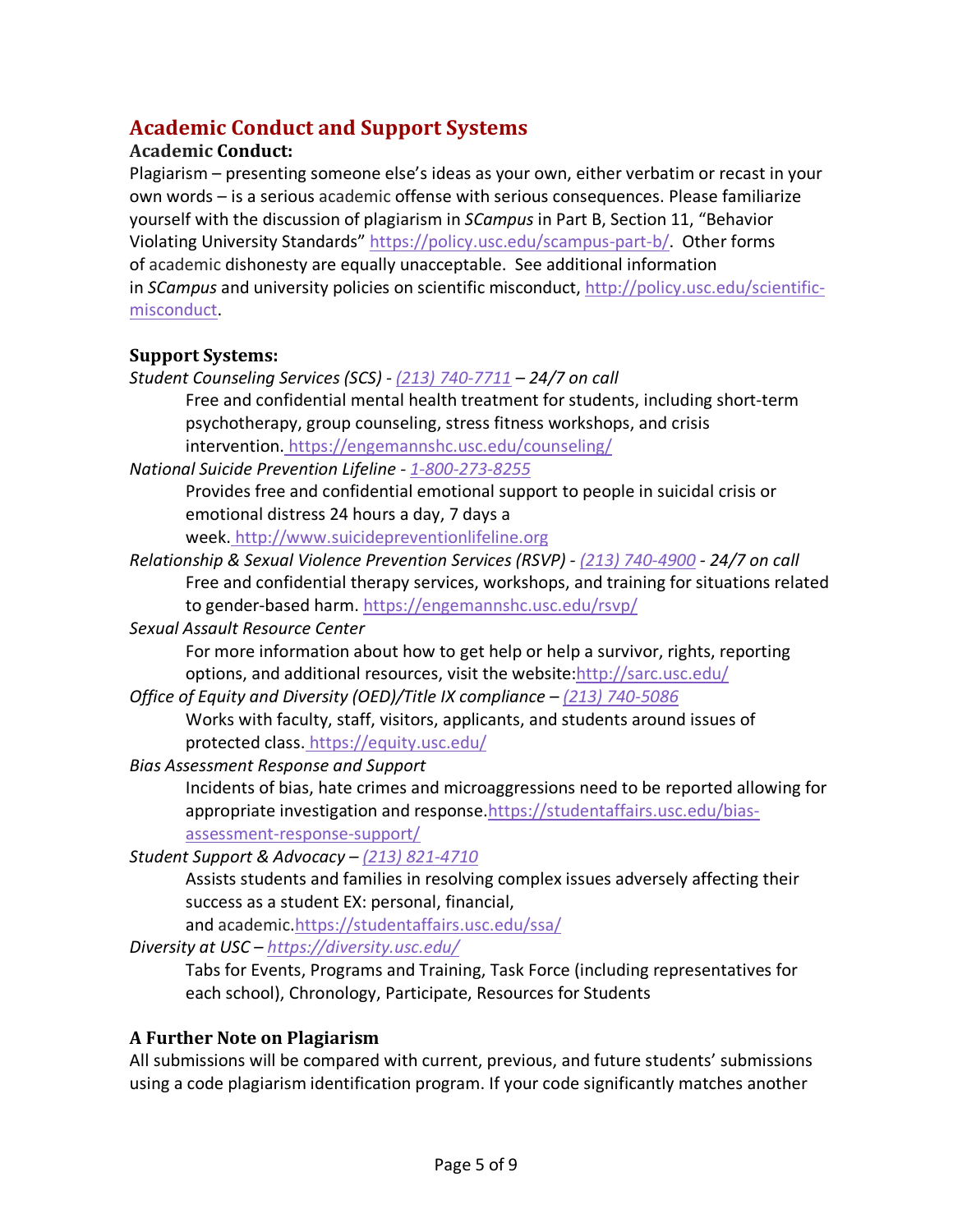## **Academic Conduct and Support Systems**

#### **Academic Conduct:**

Plagiarism – presenting someone else's ideas as your own, either verbatim or recast in your own words – is a serious academic offense with serious consequences. Please familiarize yourself with the discussion of plagiarism in *SCampus* in Part B, Section 11, "Behavior Violating University Standards" https://policy.usc.edu/scampus-part-b/. Other forms of academic dishonesty are equally unacceptable. See additional information in *SCampus* and university policies on scientific misconduct, http://policy.usc.edu/scientificmisconduct.

#### **Support Systems:**

*Student Counseling Services (SCS) - (213) 740-7711 – 24/7 on call*

Free and confidential mental health treatment for students, including short-term psychotherapy, group counseling, stress fitness workshops, and crisis intervention. https://engemannshc.usc.edu/counseling/

*National Suicide Prevention Lifeline - 1-800-273-8255*

Provides free and confidential emotional support to people in suicidal crisis or emotional distress 24 hours a day, 7 days a

week. http://www.suicidepreventionlifeline.org

*Relationship & Sexual Violence Prevention Services (RSVP) - (213) 740-4900 - 24/7 on call* Free and confidential therapy services, workshops, and training for situations related to gender-based harm. https://engemannshc.usc.edu/rsvp/

*Sexual Assault Resource Center*

For more information about how to get help or help a survivor, rights, reporting options, and additional resources, visit the website:http://sarc.usc.edu/

- *Office of Equity and Diversity (OED)/Title IX compliance – (213) 740-5086* Works with faculty, staff, visitors, applicants, and students around issues of protected class. https://equity.usc.edu/
- *Bias Assessment Response and Support*

Incidents of bias, hate crimes and microaggressions need to be reported allowing for appropriate investigation and response.https://studentaffairs.usc.edu/biasassessment-response-support/

*Student Support & Advocacy – (213) 821-4710*

Assists students and families in resolving complex issues adversely affecting their success as a student EX: personal, financial,

and academic.https://studentaffairs.usc.edu/ssa/ *Diversity at USC – https://diversity.usc.edu/*

> Tabs for Events, Programs and Training, Task Force (including representatives for each school), Chronology, Participate, Resources for Students

## **A Further Note on Plagiarism**

All submissions will be compared with current, previous, and future students' submissions using a code plagiarism identification program. If your code significantly matches another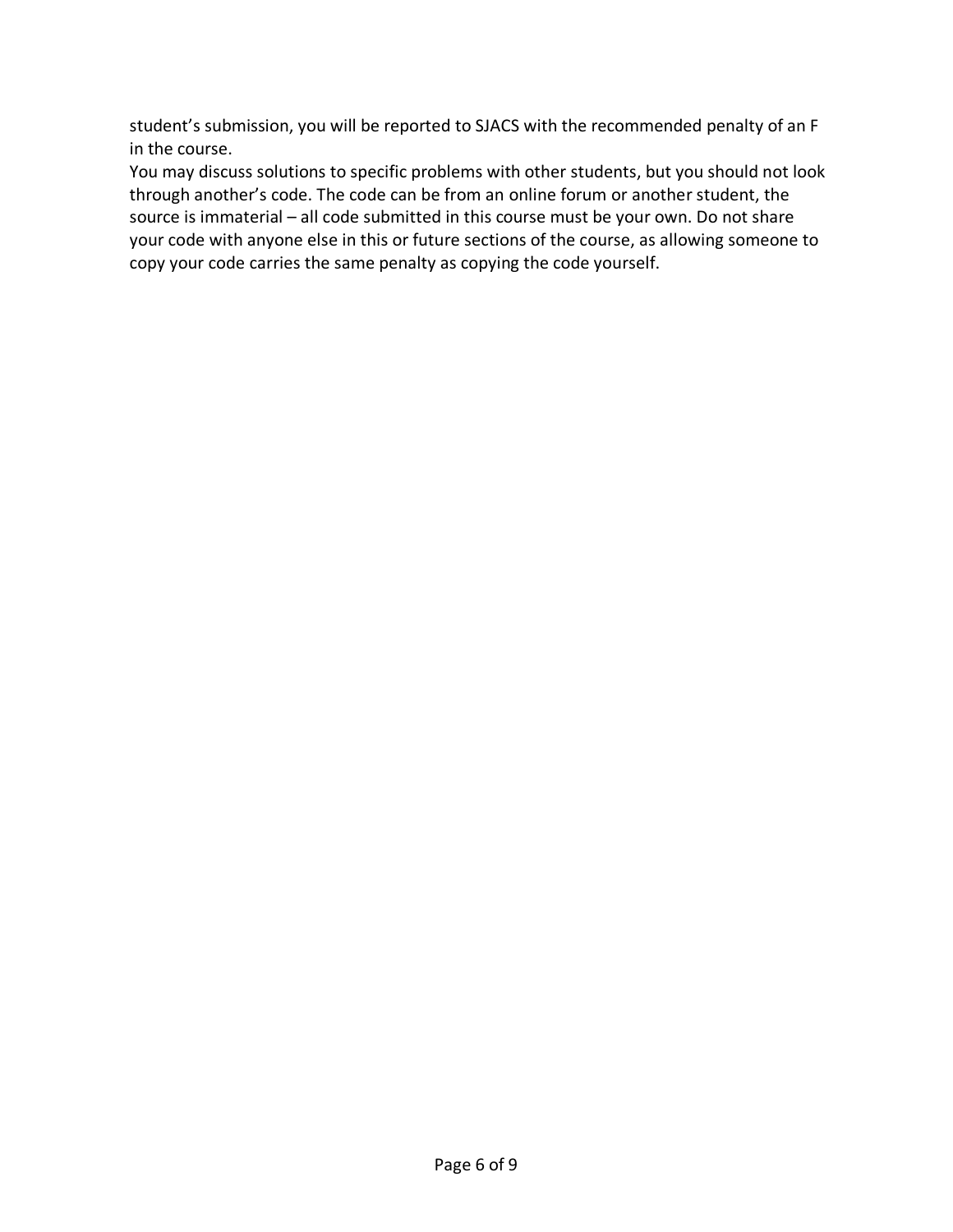student's submission, you will be reported to SJACS with the recommended penalty of an F in the course.

You may discuss solutions to specific problems with other students, but you should not look through another's code. The code can be from an online forum or another student, the source is immaterial – all code submitted in this course must be your own. Do not share your code with anyone else in this or future sections of the course, as allowing someone to copy your code carries the same penalty as copying the code yourself.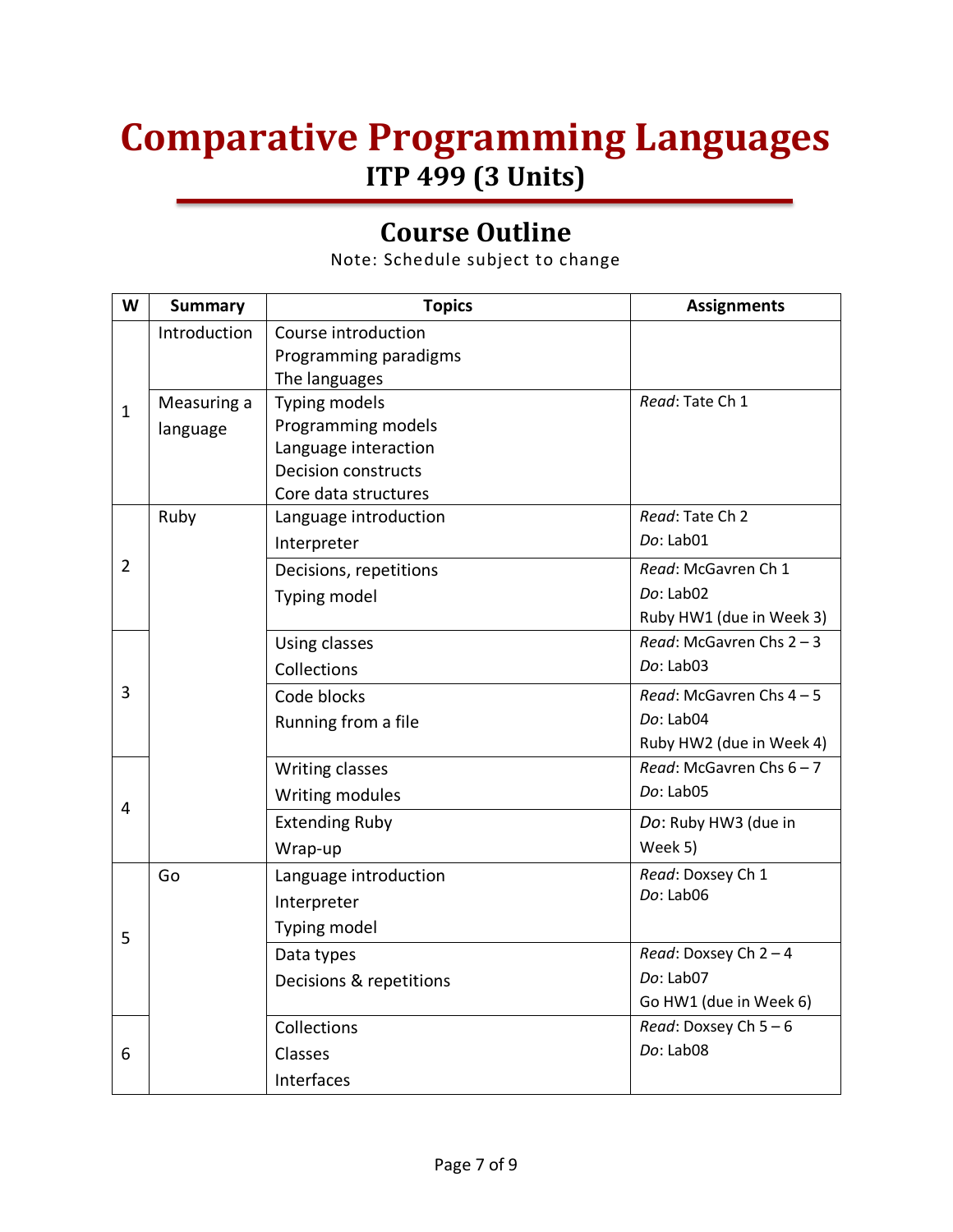## **Comparative Programming Languages ITP 499 (3 Units)**

## **Course Outline**

Note: Schedule subject to change

| W              | <b>Summary</b> | <b>Topics</b>              | <b>Assignments</b>         |
|----------------|----------------|----------------------------|----------------------------|
|                | Introduction   | Course introduction        |                            |
|                |                | Programming paradigms      |                            |
|                |                | The languages              |                            |
| $\mathbf{1}$   | Measuring a    | Typing models              | Read: Tate Ch 1            |
|                | language       | Programming models         |                            |
|                |                | Language interaction       |                            |
|                |                | <b>Decision constructs</b> |                            |
|                |                | Core data structures       |                            |
|                | Ruby           | Language introduction      | Read: Tate Ch 2            |
|                |                | Interpreter                | Do: Lab01                  |
| $\overline{2}$ |                | Decisions, repetitions     | Read: McGavren Ch 1        |
|                |                | Typing model               | $Do:$ Lab $02$             |
|                |                |                            | Ruby HW1 (due in Week 3)   |
|                |                | Using classes              | Read: McGavren Chs $2 - 3$ |
|                |                | Collections                | $Do:$ Lab $03$             |
| 3              |                | Code blocks                | Read: McGavren Chs 4-5     |
|                |                | Running from a file        | Do: Lab04                  |
|                |                |                            | Ruby HW2 (due in Week 4)   |
|                |                | Writing classes            | Read: McGavren Chs $6 - 7$ |
| 4              |                | Writing modules            | Do: Lab05                  |
|                |                | <b>Extending Ruby</b>      | Do: Ruby HW3 (due in       |
|                |                | Wrap-up                    | Week 5)                    |
|                | Go             | Language introduction      | Read: Doxsey Ch 1          |
| 5              |                | Interpreter                | Do: Lab06                  |
|                |                | Typing model               |                            |
|                |                | Data types                 | Read: Doxsey Ch $2 - 4$    |
|                |                | Decisions & repetitions    | Do: Lab07                  |
|                |                |                            | Go HW1 (due in Week 6)     |
|                |                | Collections                | Read: Doxsey Ch $5-6$      |
| 6              |                | Classes                    | Do: Lab08                  |
|                |                | Interfaces                 |                            |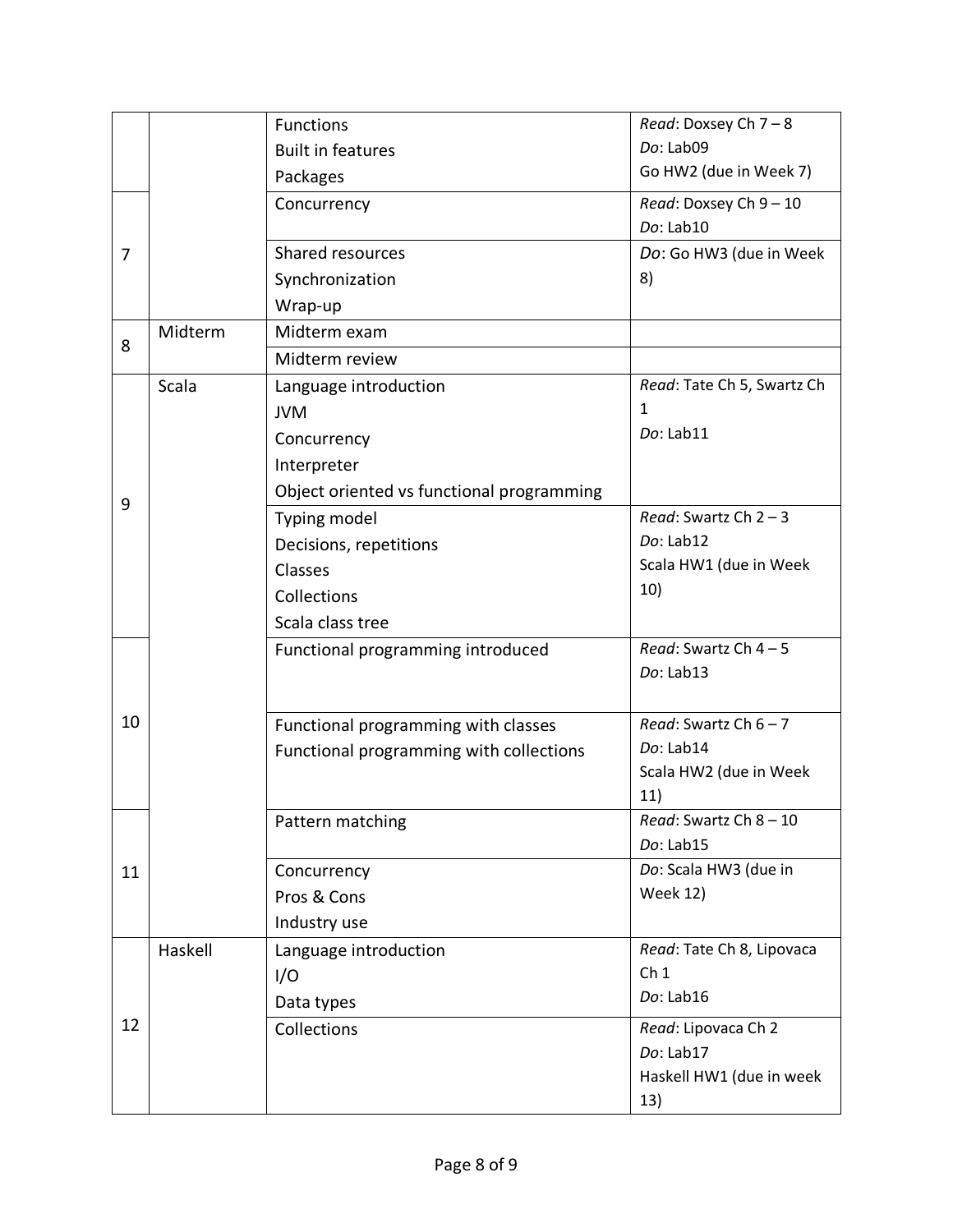|    |         | <b>Functions</b>                          | Read: Doxsey Ch 7-8          |
|----|---------|-------------------------------------------|------------------------------|
|    |         | <b>Built in features</b>                  | Do: Lab09                    |
|    |         | Packages                                  | Go HW2 (due in Week 7)       |
|    |         | Concurrency                               | Read: Doxsey Ch 9 - 10       |
|    |         |                                           | Do: Lab10                    |
| 7  |         | Shared resources                          | Do: Go HW3 (due in Week      |
|    |         | Synchronization                           | 8)                           |
|    |         | Wrap-up                                   |                              |
|    | Midterm | Midterm exam                              |                              |
| 8  |         | Midterm review                            |                              |
|    | Scala   | Language introduction                     | Read: Tate Ch 5, Swartz Ch   |
|    |         | <b>JVM</b>                                | 1                            |
|    |         | Concurrency                               | Do: Lab11                    |
|    |         | Interpreter                               |                              |
|    |         | Object oriented vs functional programming |                              |
| 9  |         | Typing model                              | Read: Swartz Ch $2 - 3$      |
|    |         | Decisions, repetitions                    | Do: Lab12                    |
|    |         | Classes                                   | Scala HW1 (due in Week       |
|    |         | Collections                               | 10)                          |
|    |         | Scala class tree                          |                              |
|    |         | Functional programming introduced         | Read: Swartz Ch $4-5$        |
|    |         |                                           | Do: Lab13                    |
|    |         |                                           |                              |
| 10 |         | Functional programming with classes       | Read: Swartz Ch $6 - 7$      |
|    |         | Functional programming with collections   | Do: Lab14                    |
|    |         |                                           | Scala HW2 (due in Week       |
|    |         |                                           | 11)                          |
|    |         | Pattern matching                          | Read: Swartz Ch 8 - 10       |
|    |         |                                           | Do: Lab15                    |
| 11 |         | Concurrency                               | Do: Scala HW3 (due in        |
|    |         | Pros & Cons                               | <b>Week 12)</b>              |
|    |         | Industry use                              |                              |
|    | Haskell | Language introduction                     | Read: Tate Ch 8, Lipovaca    |
|    |         | I/O                                       | Ch <sub>1</sub><br>Do: Lab16 |
|    |         | Data types                                |                              |
| 12 |         | Collections                               | Read: Lipovaca Ch 2          |
|    |         |                                           | Do: Lab17                    |
|    |         |                                           | Haskell HW1 (due in week     |
|    |         |                                           | 13)                          |